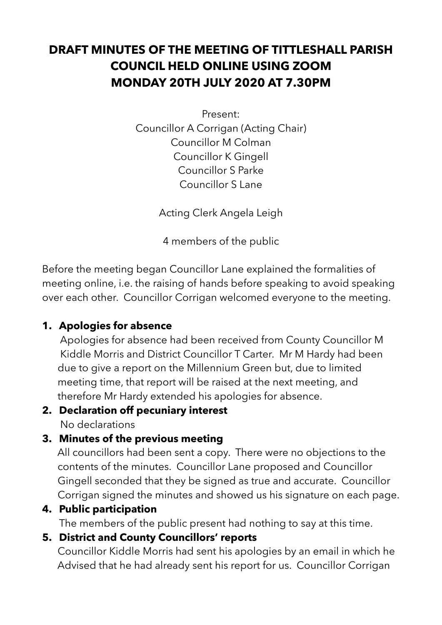## **DRAFT MINUTES OF THE MEETING OF TITTLESHALL PARISH COUNCIL HELD ONLINE USING ZOOM MONDAY 20TH JULY 2020 AT 7.30PM**

Present:

Councillor A Corrigan (Acting Chair) Councillor M Colman Councillor K Gingell Councillor S Parke Councillor S Lane

Acting Clerk Angela Leigh

4 members of the public

Before the meeting began Councillor Lane explained the formalities of meeting online, i.e. the raising of hands before speaking to avoid speaking over each other. Councillor Corrigan welcomed everyone to the meeting.

#### **1. Apologies for absence**

 Apologies for absence had been received from County Councillor M Kiddle Morris and District Councillor T Carter. Mr M Hardy had been due to give a report on the Millennium Green but, due to limited meeting time, that report will be raised at the next meeting, and therefore Mr Hardy extended his apologies for absence.

# **2. Declaration off pecuniary interest**

No declarations

## **3. Minutes of the previous meeting**

 All councillors had been sent a copy. There were no objections to the contents of the minutes. Councillor Lane proposed and Councillor Gingell seconded that they be signed as true and accurate. Councillor Corrigan signed the minutes and showed us his signature on each page.

#### **4. Public participation**

The members of the public present had nothing to say at this time.

## **5. District and County Councillors' reports**

 Councillor Kiddle Morris had sent his apologies by an email in which he Advised that he had already sent his report for us. Councillor Corrigan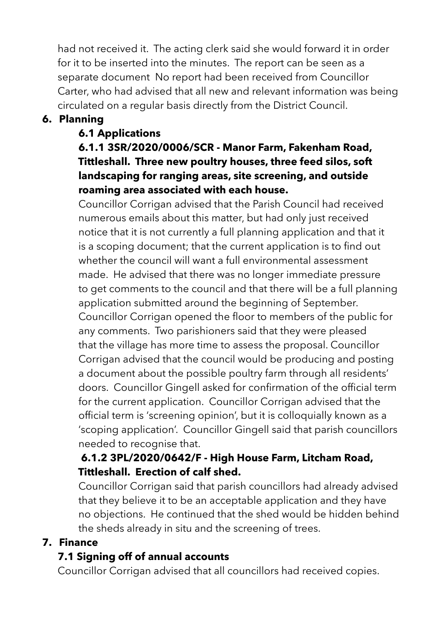had not received it. The acting clerk said she would forward it in order for it to be inserted into the minutes. The report can be seen as a separate document No report had been received from Councillor Carter, who had advised that all new and relevant information was being circulated on a regular basis directly from the District Council.

#### **6. Planning**

#### **6.1 Applications**

#### **6.1.1 3SR/2020/0006/SCR - Manor Farm, Fakenham Road, Tittleshall. Three new poultry houses, three feed silos, soft landscaping for ranging areas, site screening, and outside roaming area associated with each house.**

 Councillor Corrigan advised that the Parish Council had received numerous emails about this matter, but had only just received notice that it is not currently a full planning application and that it is a scoping document; that the current application is to find out whether the council will want a full environmental assessment made. He advised that there was no longer immediate pressure to get comments to the council and that there will be a full planning application submitted around the beginning of September. Councillor Corrigan opened the floor to members of the public for any comments. Two parishioners said that they were pleased that the village has more time to assess the proposal. Councillor Corrigan advised that the council would be producing and posting a document about the possible poultry farm through all residents' doors. Councillor Gingell asked for confirmation of the official term for the current application. Councillor Corrigan advised that the official term is 'screening opinion', but it is colloquially known as a 'scoping application'. Councillor Gingell said that parish councillors needed to recognise that.

#### **6.1.2 3PL/2020/0642/F - High House Farm, Litcham Road, Tittleshall. Erection of calf shed.**

 Councillor Corrigan said that parish councillors had already advised that they believe it to be an acceptable application and they have no objections. He continued that the shed would be hidden behind the sheds already in situ and the screening of trees.

#### **7. Finance**

#### **7.1 Signing off of annual accounts**

Councillor Corrigan advised that all councillors had received copies.